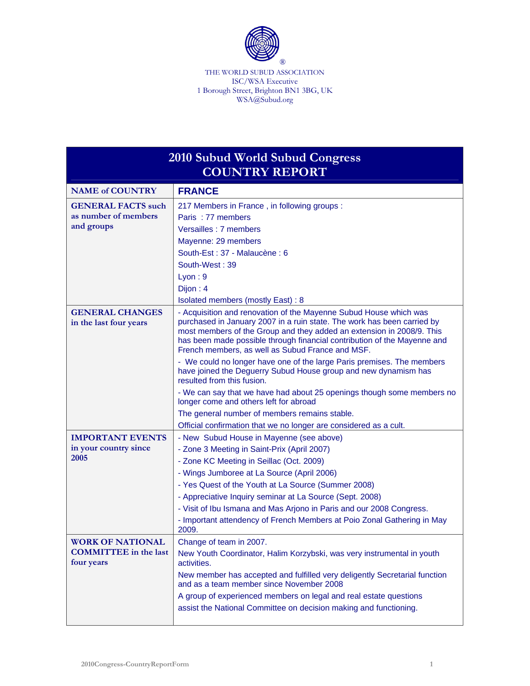

THE WORLD SUBUD ASSOCIATION ISC/WSA Executive 1 Borough Street, Brighton BN1 3BG, UK WSA@Subud.org

| 2010 Subud World Subud Congress<br><b>COUNTRY REPORT</b> |                                                                                                                                                                                                                                                                                                                                                       |  |
|----------------------------------------------------------|-------------------------------------------------------------------------------------------------------------------------------------------------------------------------------------------------------------------------------------------------------------------------------------------------------------------------------------------------------|--|
| <b>NAME of COUNTRY</b>                                   | <b>FRANCE</b>                                                                                                                                                                                                                                                                                                                                         |  |
| <b>GENERAL FACTS such</b><br>as number of members        | 217 Members in France, in following groups:                                                                                                                                                                                                                                                                                                           |  |
|                                                          | Paris: 77 members                                                                                                                                                                                                                                                                                                                                     |  |
| and groups                                               | Versailles : 7 members                                                                                                                                                                                                                                                                                                                                |  |
|                                                          | Mayenne: 29 members                                                                                                                                                                                                                                                                                                                                   |  |
|                                                          | South-Est: 37 - Malaucène: 6                                                                                                                                                                                                                                                                                                                          |  |
|                                                          | South-West: 39                                                                                                                                                                                                                                                                                                                                        |  |
|                                                          | Lyon: 9                                                                                                                                                                                                                                                                                                                                               |  |
|                                                          | Dijon: 4                                                                                                                                                                                                                                                                                                                                              |  |
|                                                          | <b>Isolated members (mostly East): 8</b>                                                                                                                                                                                                                                                                                                              |  |
| <b>GENERAL CHANGES</b><br>in the last four years         | - Acquisition and renovation of the Mayenne Subud House which was<br>purchased in January 2007 in a ruin state. The work has been carried by<br>most members of the Group and they added an extension in 2008/9. This<br>has been made possible through financial contribution of the Mayenne and<br>French members, as well as Subud France and MSF. |  |
|                                                          | - We could no longer have one of the large Paris premises. The members<br>have joined the Deguerry Subud House group and new dynamism has<br>resulted from this fusion.                                                                                                                                                                               |  |
|                                                          | - We can say that we have had about 25 openings though some members no<br>longer come and others left for abroad                                                                                                                                                                                                                                      |  |
|                                                          | The general number of members remains stable.                                                                                                                                                                                                                                                                                                         |  |
|                                                          | Official confirmation that we no longer are considered as a cult.                                                                                                                                                                                                                                                                                     |  |
| <b>IMPORTANT EVENTS</b>                                  | - New Subud House in Mayenne (see above)                                                                                                                                                                                                                                                                                                              |  |
| in your country since                                    | - Zone 3 Meeting in Saint-Prix (April 2007)                                                                                                                                                                                                                                                                                                           |  |
| 2005                                                     | - Zone KC Meeting in Seillac (Oct. 2009)                                                                                                                                                                                                                                                                                                              |  |
|                                                          | - Wings Jumboree at La Source (April 2006)                                                                                                                                                                                                                                                                                                            |  |
|                                                          | - Yes Quest of the Youth at La Source (Summer 2008)                                                                                                                                                                                                                                                                                                   |  |
|                                                          | - Appreciative Inquiry seminar at La Source (Sept. 2008)                                                                                                                                                                                                                                                                                              |  |
|                                                          | - Visit of Ibu Ismana and Mas Arjono in Paris and our 2008 Congress.                                                                                                                                                                                                                                                                                  |  |
|                                                          | - Important attendency of French Members at Poio Zonal Gathering in May<br>2009.                                                                                                                                                                                                                                                                      |  |
| <b>WORK OF NATIONAL</b>                                  | Change of team in 2007.                                                                                                                                                                                                                                                                                                                               |  |
| <b>COMMITTEE</b> in the last<br>four years               | New Youth Coordinator, Halim Korzybski, was very instrumental in youth<br>activities.                                                                                                                                                                                                                                                                 |  |
|                                                          | New member has accepted and fulfilled very deligently Secretarial function<br>and as a team member since November 2008                                                                                                                                                                                                                                |  |
|                                                          | A group of experienced members on legal and real estate questions                                                                                                                                                                                                                                                                                     |  |
|                                                          | assist the National Committee on decision making and functioning.                                                                                                                                                                                                                                                                                     |  |